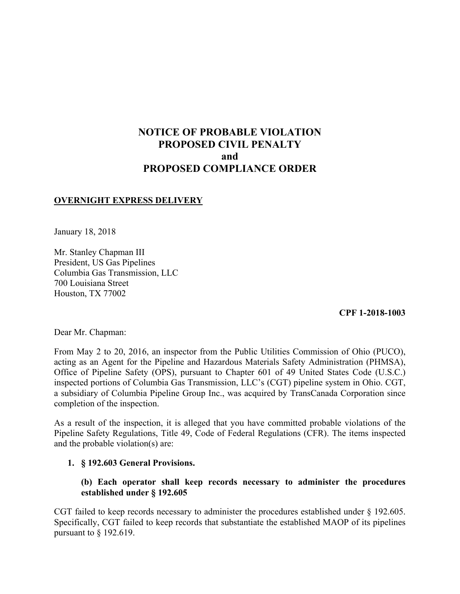# **NOTICE OF PROBABLE VIOLATION PROPOSED CIVIL PENALTY and PROPOSED COMPLIANCE ORDER**

## **OVERNIGHT EXPRESS DELIVERY**

January 18, 2018

Mr. Stanley Chapman III President, US Gas Pipelines Columbia Gas Transmission, LLC 700 Louisiana Street Houston, TX 77002

**CPF 1-2018-1003** 

Dear Mr. Chapman:

 From May 2 to 20, 2016, an inspector from the Public Utilities Commission of Ohio (PUCO), acting as an Agent for the Pipeline and Hazardous Materials Safety Administration (PHMSA), Office of Pipeline Safety (OPS), pursuant to Chapter 601 of 49 United States Code (U.S.C.) inspected portions of Columbia Gas Transmission, LLC's (CGT) pipeline system in Ohio. CGT, a subsidiary of Columbia Pipeline Group Inc., was acquired by TransCanada Corporation since completion of the inspection.

As a result of the inspection, it is alleged that you have committed probable violations of the Pipeline Safety Regulations, Title 49, Code of Federal Regulations (CFR). The items inspected and the probable violation(s) are:

#### **1. § 192.603 General Provisions.**

## **(b) Each operator shall keep records necessary to administer the procedures established under § 192.605**

CGT failed to keep records necessary to administer the procedures established under § 192.605. Specifically, CGT failed to keep records that substantiate the established MAOP of its pipelines pursuant to § 192.619.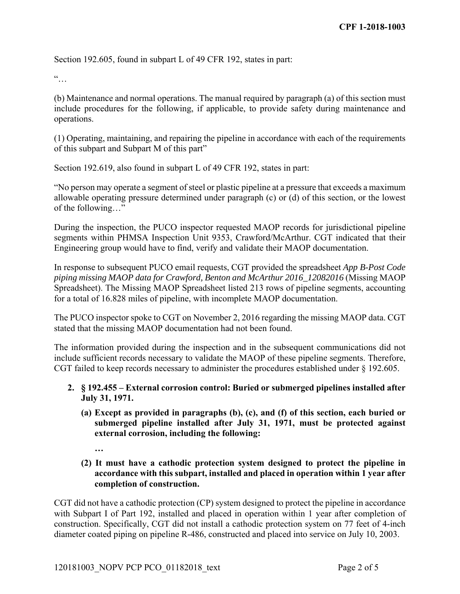Section 192.605, found in subpart L of 49 CFR 192, states in part:

 $\dddot{\bullet}$ 

(b) Maintenance and normal operations. The manual required by paragraph (a) of this section must include procedures for the following, if applicable, to provide safety during maintenance and operations.

(1) Operating, maintaining, and repairing the pipeline in accordance with each of the requirements of this subpart and Subpart M of this part"

Section 192.619, also found in subpart L of 49 CFR 192, states in part:

"No person may operate a segment of steel or plastic pipeline at a pressure that exceeds a maximum allowable operating pressure determined under paragraph (c) or (d) of this section, or the lowest of the following…"

During the inspection, the PUCO inspector requested MAOP records for jurisdictional pipeline segments within PHMSA Inspection Unit 9353, Crawford/McArthur. CGT indicated that their Engineering group would have to find, verify and validate their MAOP documentation.

In response to subsequent PUCO email requests, CGT provided the spreadsheet *App B-Post Code piping missing MAOP data for Crawford, Benton and McArthur 2016\_12082016* (Missing MAOP Spreadsheet). The Missing MAOP Spreadsheet listed 213 rows of pipeline segments, accounting for a total of 16.828 miles of pipeline, with incomplete MAOP documentation.

The PUCO inspector spoke to CGT on November 2, 2016 regarding the missing MAOP data. CGT stated that the missing MAOP documentation had not been found.

The information provided during the inspection and in the subsequent communications did not include sufficient records necessary to validate the MAOP of these pipeline segments. Therefore, CGT failed to keep records necessary to administer the procedures established under § 192.605.

## **2. § 192.455 – External corrosion control: Buried or submerged pipelines installed after July 31, 1971.**

- **(a) Except as provided in paragraphs (b), (c), and (f) of this section, each buried or submerged pipeline installed after July 31, 1971, must be protected against external corrosion, including the following:** 
	- **…**
- **(2) It must have a cathodic protection system designed to protect the pipeline in accordance with this subpart, installed and placed in operation within 1 year after completion of construction.**

 with Subpart I of Part 192, installed and placed in operation within 1 year after completion of CGT did not have a cathodic protection (CP) system designed to protect the pipeline in accordance construction. Specifically, CGT did not install a cathodic protection system on 77 feet of 4-inch diameter coated piping on pipeline R-486, constructed and placed into service on July 10, 2003.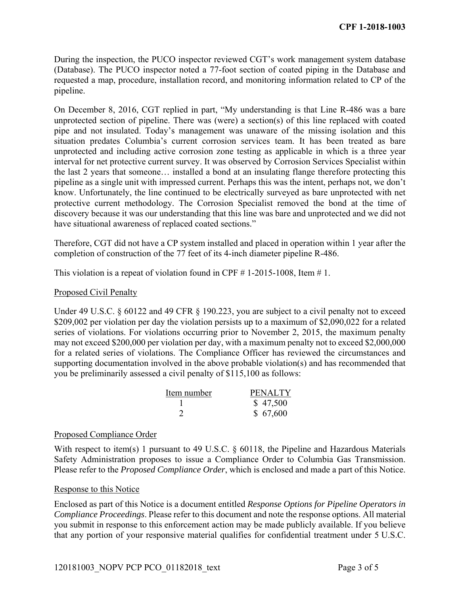During the inspection, the PUCO inspector reviewed CGT's work management system database (Database). The PUCO inspector noted a 77-foot section of coated piping in the Database and requested a map, procedure, installation record, and monitoring information related to CP of the pipeline.

 situation predates Columbia's current corrosion services team. It has been treated as bare unprotected and including active corrosion zone testing as applicable in which is a three year On December 8, 2016, CGT replied in part, "My understanding is that Line R-486 was a bare unprotected section of pipeline. There was (were) a section(s) of this line replaced with coated pipe and not insulated. Today's management was unaware of the missing isolation and this interval for net protective current survey. It was observed by Corrosion Services Specialist within the last 2 years that someone… installed a bond at an insulating flange therefore protecting this pipeline as a single unit with impressed current. Perhaps this was the intent, perhaps not, we don't know. Unfortunately, the line continued to be electrically surveyed as bare unprotected with net protective current methodology. The Corrosion Specialist removed the bond at the time of discovery because it was our understanding that this line was bare and unprotected and we did not have situational awareness of replaced coated sections."

 Therefore, CGT did not have a CP system installed and placed in operation within 1 year after the completion of construction of the 77 feet of its 4-inch diameter pipeline R-486.

This violation is a repeat of violation found in CPF  $# 1-2015-1008$ , Item  $# 1$ .

#### Proposed Civil Penalty

 may not exceed \$200,000 per violation per day, with a maximum penalty not to exceed \$2,000,000 Under 49 U.S.C. § 60122 and 49 CFR § 190.223, you are subject to a civil penalty not to exceed \$209,002 per violation per day the violation persists up to a maximum of \$2,090,022 for a related series of violations. For violations occurring prior to November 2, 2015, the maximum penalty for a related series of violations. The Compliance Officer has reviewed the circumstances and supporting documentation involved in the above probable violation(s) and has recommended that you be preliminarily assessed a civil penalty of \$115,100 as follows:

| Item number | <b>PENALTY</b> |
|-------------|----------------|
|             | \$47,500       |
|             | \$67,600       |

#### Proposed Compliance Order

With respect to item(s) 1 pursuant to 49 U.S.C. § 60118, the Pipeline and Hazardous Materials Safety Administration proposes to issue a Compliance Order to Columbia Gas Transmission. Please refer to the *Proposed Compliance Order*, which is enclosed and made a part of this Notice.

#### Response to this Notice

Enclosed as part of this Notice is a document entitled *Response Options for Pipeline Operators in Compliance Proceedings*. Please refer to this document and note the response options. All material you submit in response to this enforcement action may be made publicly available. If you believe that any portion of your responsive material qualifies for confidential treatment under 5 U.S.C.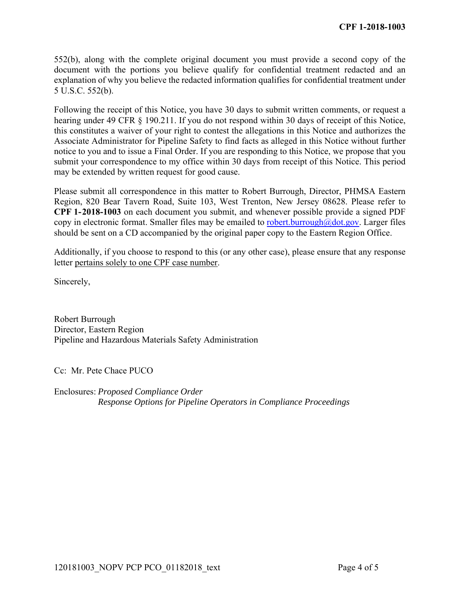552(b), along with the complete original document you must provide a second copy of the document with the portions you believe qualify for confidential treatment redacted and an explanation of why you believe the redacted information qualifies for confidential treatment under 5 U.S.C. 552(b).

 hearing under 49 CFR § 190.211. If you do not respond within 30 days of receipt of this Notice, Following the receipt of this Notice, you have 30 days to submit written comments, or request a this constitutes a waiver of your right to contest the allegations in this Notice and authorizes the Associate Administrator for Pipeline Safety to find facts as alleged in this Notice without further notice to you and to issue a Final Order. If you are responding to this Notice, we propose that you submit your correspondence to my office within 30 days from receipt of this Notice. This period may be extended by written request for good cause.

Please submit all correspondence in this matter to Robert Burrough, Director, PHMSA Eastern Region, 820 Bear Tavern Road, Suite 103, West Trenton, New Jersey 08628. Please refer to **CPF 1-2018-1003** on each document you submit, and whenever possible provide a signed PDF copy in electronic format. Smaller files may be emailed to robert.burrough@dot.gov. Larger files should be sent on a CD accompanied by the original paper copy to the Eastern Region Office.

Additionally, if you choose to respond to this (or any other case), please ensure that any response letter pertains solely to one CPF case number.

Sincerely,

Robert Burrough Director, Eastern Region Pipeline and Hazardous Materials Safety Administration

Cc: Mr. Pete Chace PUCO

Enclosures: *Proposed Compliance Order Response Options for Pipeline Operators in Compliance Proceedings*